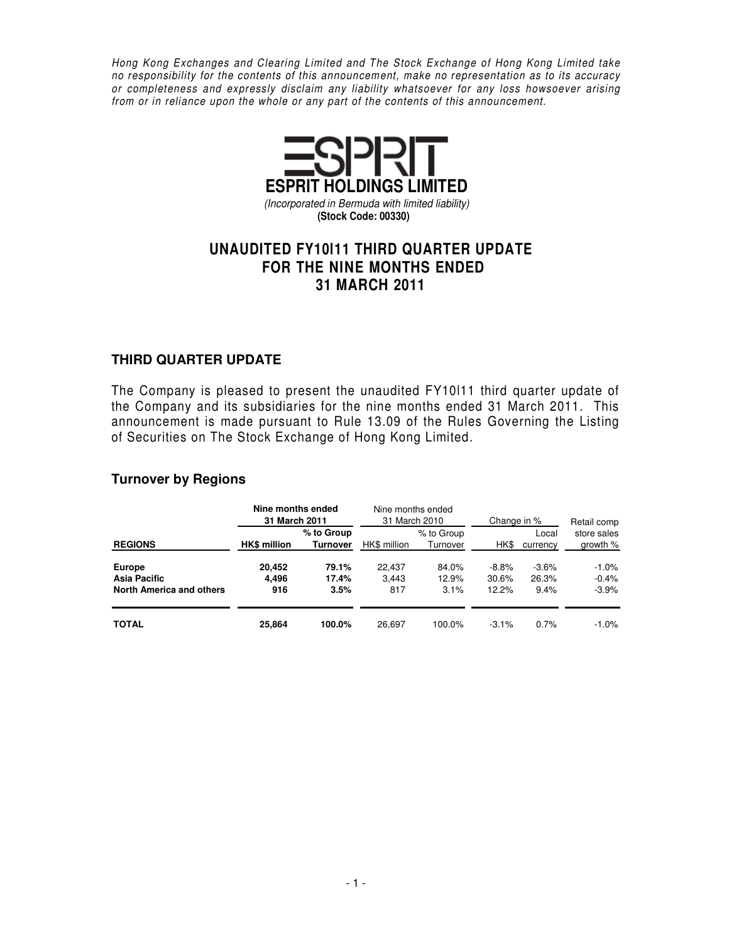Hong Kong Exchanges and Clearing Limited and The Stock Exchange of Hong Kong Limited take no responsibility for the contents of this announcement, make no representation as to its accuracy or completeness and expressly disclaim any liability whatsoever for any loss howsoever arising from or in reliance upon the whole or any part of the contents of this announcement.



# **UNAUDITED FY10l11 THIRD QUARTER UPDATE FOR THE NINE MONTHS ENDED 31 MARCH 2011**

### **THIRD QUARTER UPDATE**

The Company is pleased to present the unaudited FY10l11 third quarter update of the Company and its subsidiaries for the nine months ended 31 March 2011. This announcement is made pursuant to Rule 13.09 of the Rules Governing the Listing of Securities on The Stock Exchange of Hong Kong Limited.

#### **Turnover by Regions**

|                                 | 31 March 2011       | Nine months ended             |                 | Nine months ended<br>31 March 2010 | Change in %      | Retail comp       |                           |
|---------------------------------|---------------------|-------------------------------|-----------------|------------------------------------|------------------|-------------------|---------------------------|
| <b>REGIONS</b>                  | <b>HK\$</b> million | % to Group<br><b>Turnover</b> | HK\$ million    | % to Group<br>Turnover             | HK\$             | Local<br>currency | store sales<br>growth $%$ |
| Europe<br>Asia Pacific          | 20.452<br>4.496     | 79.1%<br>17.4%                | 22.437<br>3.443 | 84.0%<br>12.9%                     | $-8.8%$<br>30.6% | $-3.6%$<br>26.3%  | $-1.0\%$<br>$-0.4%$       |
| <b>North America and others</b> | 916                 | 3.5%                          | 817             | 3.1%                               | 12.2%            | 9.4%              | $-3.9%$                   |
| <b>TOTAL</b>                    | 25,864              | 100.0%                        | 26.697          | 100.0%                             | $-3.1%$          | 0.7%              | $-1.0\%$                  |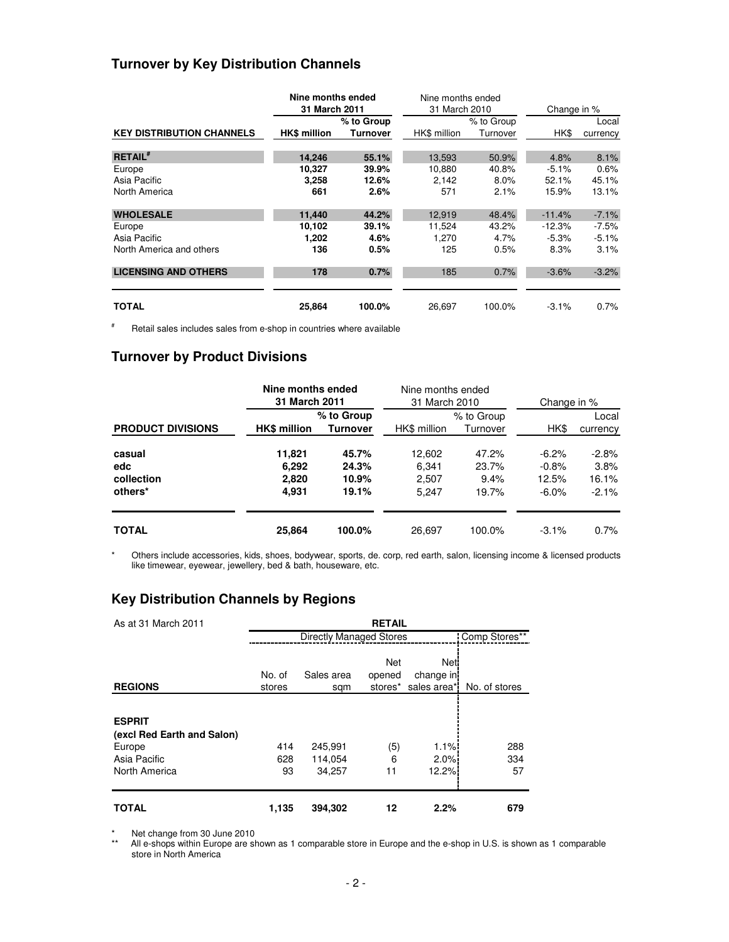#### **Turnover by Key Distribution Channels**

|                                  | Nine months ended               |            | Nine months ended |            |             |          |  |
|----------------------------------|---------------------------------|------------|-------------------|------------|-------------|----------|--|
|                                  | 31 March 2011                   |            | 31 March 2010     |            | Change in % |          |  |
|                                  |                                 | % to Group |                   | % to Group |             | Local    |  |
| <b>KEY DISTRIBUTION CHANNELS</b> | <b>HK\$</b> million<br>Turnover |            | HK\$ million      | Turnover   | HK\$        | currency |  |
| <b>RETAIL</b> #                  | 14,246                          | 55.1%      | 13,593            | 50.9%      | 4.8%        | 8.1%     |  |
| Europe                           | 10,327                          | 39.9%      | 10.880            | 40.8%      | $-5.1%$     | 0.6%     |  |
| Asia Pacific                     | 3,258                           | 12.6%      | 2,142             | 8.0%       | 52.1%       | 45.1%    |  |
| North America                    | 661                             | 2.6%       | 571               | 2.1%       | 15.9%       | 13.1%    |  |
| <b>WHOLESALE</b>                 | 11,440                          | 44.2%      | 12,919            | 48.4%      | $-11.4%$    | $-7.1%$  |  |
| Europe                           | 10,102                          | 39.1%      | 11.524            | 43.2%      | $-12.3%$    | $-7.5\%$ |  |
| Asia Pacific                     | 1.202                           | 4.6%       | 1.270             | 4.7%       | $-5.3%$     | $-5.1%$  |  |
| North America and others         | 136                             | 0.5%       | 125               | 0.5%       | 8.3%        | 3.1%     |  |
| <b>LICENSING AND OTHERS</b>      | 178                             | 0.7%       | 185               | 0.7%       | $-3.6%$     | $-3.2%$  |  |
| TOTAL                            | 25,864                          | 100.0%     | 26.697            | 100.0%     | $-3.1%$     | 0.7%     |  |

# Retail sales includes sales from e-shop in countries where available

#### **Turnover by Product Divisions**

|                                        | Nine months ended<br>31 March 2011 |                                  | Nine months ended<br>31 March 2010 |                                 | Change in %                              |                                      |  |
|----------------------------------------|------------------------------------|----------------------------------|------------------------------------|---------------------------------|------------------------------------------|--------------------------------------|--|
| <b>PRODUCT DIVISIONS</b>               | <b>HK\$ million</b>                | % to Group<br><b>Turnover</b>    | HK\$ million                       | % to Group<br>Turnover          | HK\$                                     | Local<br>currency                    |  |
| casual<br>edc<br>collection<br>others* | 11,821<br>6.292<br>2,820<br>4,931  | 45.7%<br>24.3%<br>10.9%<br>19.1% | 12,602<br>6.341<br>2.507<br>5.247  | 47.2%<br>23.7%<br>9.4%<br>19.7% | $-6.2\%$<br>$-0.8%$<br>12.5%<br>$-6.0\%$ | $-2.8%$<br>3.8%<br>16.1%<br>$-2.1\%$ |  |
| <b>TOTAL</b>                           | 25,864                             | 100.0%                           | 26.697                             | 100.0%                          | $-3.1\%$                                 | 0.7%                                 |  |

\* Others include accessories, kids, shoes, bodywear, sports, de. corp, red earth, salon, licensing income & licensed products like timewear, eyewear, jewellery, bed & bath, houseware, etc.

## **Key Distribution Channels by Regions**

| As at 31 March 2011                                                                    | <b>RETAIL</b>    |                              |                          |                                   |                  |  |  |  |  |  |  |
|----------------------------------------------------------------------------------------|------------------|------------------------------|--------------------------|-----------------------------------|------------------|--|--|--|--|--|--|
|                                                                                        |                  | Comp Stores**                |                          |                                   |                  |  |  |  |  |  |  |
| <b>REGIONS</b>                                                                         | No. of<br>stores | Sales area<br>sqm            | Net<br>opened<br>stores* | Net:<br>change in<br>sales area*! | No. of stores    |  |  |  |  |  |  |
| <b>ESPRIT</b><br>(excl Red Earth and Salon)<br>Europe<br>Asia Pacific<br>North America | 414<br>628<br>93 | 245,991<br>114,054<br>34.257 | (5)<br>6<br>11           | 1.1%<br>2.0%<br>12.2%             | 288<br>334<br>57 |  |  |  |  |  |  |
| <b>TOTAL</b>                                                                           | 1,135            | 394,302                      | 12                       | 2.2%                              | 679              |  |  |  |  |  |  |

\* Net change from 30 June 2010

\*\* All e-shops within Europe are shown as 1 comparable store in Europe and the e-shop in U.S. is shown as 1 comparable store in North America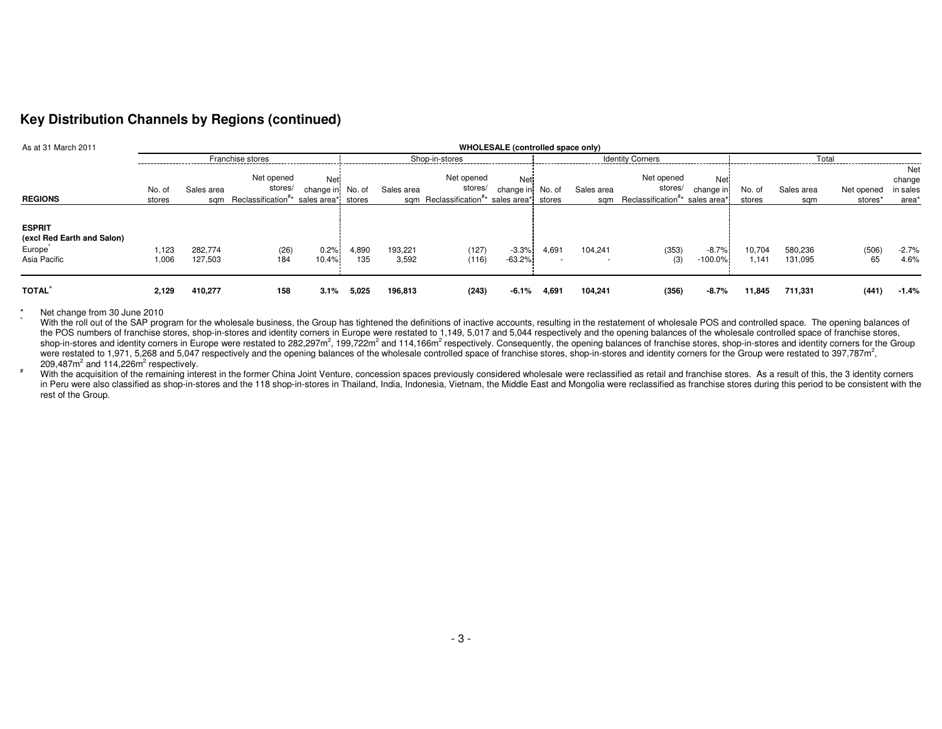### **Key Distribution Channels by Regions (continued)**

| As at 31 March 2011                                                                | WHOLESALE (controlled space only) |                    |                                                                                        |                         |                |                  |                                                                                            |                         |       |                   |                                                                     |                   |                  |                    |                       |                                    |
|------------------------------------------------------------------------------------|-----------------------------------|--------------------|----------------------------------------------------------------------------------------|-------------------------|----------------|------------------|--------------------------------------------------------------------------------------------|-------------------------|-------|-------------------|---------------------------------------------------------------------|-------------------|------------------|--------------------|-----------------------|------------------------------------|
| Franchise stores                                                                   |                                   |                    |                                                                                        |                         | Shop-in-stores |                  |                                                                                            | <b>Identity Corners</b> |       |                   |                                                                     | Total             |                  |                    |                       |                                    |
| <b>REGIONS</b>                                                                     | No. of<br>stores                  | Sales area<br>sam  | Net opened<br>stores/<br>Reclassification <sup>#*</sup> sales area <sup>*</sup> stores | Net<br>change in No. of |                | Sales area       | Net opened<br>stores/<br>sqm Reclassification <sup>#*</sup> sales area <sup>*</sup> stores | Net<br>change in No. of |       | Sales area<br>sam | Net opened<br>stores/<br>Reclassification <sup>#*</sup> sales area* | Net<br>change in  | No. of<br>stores | Sales area<br>sam  | Net opened<br>stores* | Net<br>change<br>in sales<br>area' |
| <b>ESPRIT</b><br>(excl Red Earth and Salon)<br>Europe <sup>®</sup><br>Asia Pacific | 1.123<br>1,006                    | 282.774<br>127,503 | (26)<br>184                                                                            | 0.2%<br>10.4%           | 4,890<br>135   | 193,221<br>3,592 | (127)<br>(116)                                                                             | $-3.3%$<br>$-63.2%$     | 4,691 | 104,241           | (353)<br>(3)                                                        | $-8.7%$<br>100.0% | 10,704<br>1.141  | 580,236<br>131,095 | (506)<br>65           | $-2.7%$<br>4.6%                    |
| <b>TOTAL</b>                                                                       | 2,129                             | 410,277            | 158                                                                                    | 3.1%                    | 5,025          | 196,813          | (243)                                                                                      | -6.1%                   | 4,691 | 104.241           | (356)                                                               | $-8.7\%$          | 11,845           | 711,331            | (441)                 | $-1.4%$                            |

\* Net change from 30 June 2010<br>^ With the roll out of the SAP program for the wholesale business, the Group has tightened the definitions of inactive accounts, resulting in the restatement of wholesale POS and controlled s the POS numbers of franchise stores, shop-in-stores and identity corners in Europe were restated to 1,149, 5,017 and 5,044 respectively and the opening balances of the wholesale controlled space of franchise stores, shop-in-stores and identity corners in Europe were restated to 282,297m<sup>2</sup>, 199,722m<sup>2</sup> and 114,166m<sup>2</sup> respectively. Consequently, the opening balances of franchise stores, shop-in-stores and identity corners for the Grou were restated to 1,971, 5,268 and 5,047 respectively and the opening balances of the wholesale controlled space of franchise stores, shop-in-stores and identity corners for the Group were restated to 397,787m<sup>2</sup>, 209,487 $m^2$  and 114,226 $m^2$  respectively.

\* With the acquisition of the remaining interest in the former China Joint Venture, concession spaces previously considered wholesale were reclassified as retail and franchise stores. As a result of this, the 3 identity co in Peru were also classified as shop-in-stores and the 118 shop-in-stores in Thailand, India, Indonesia, Vietnam, the Middle East and Mongolia were reclassified as franchise stores during this period to be consistent with rest of the Group.